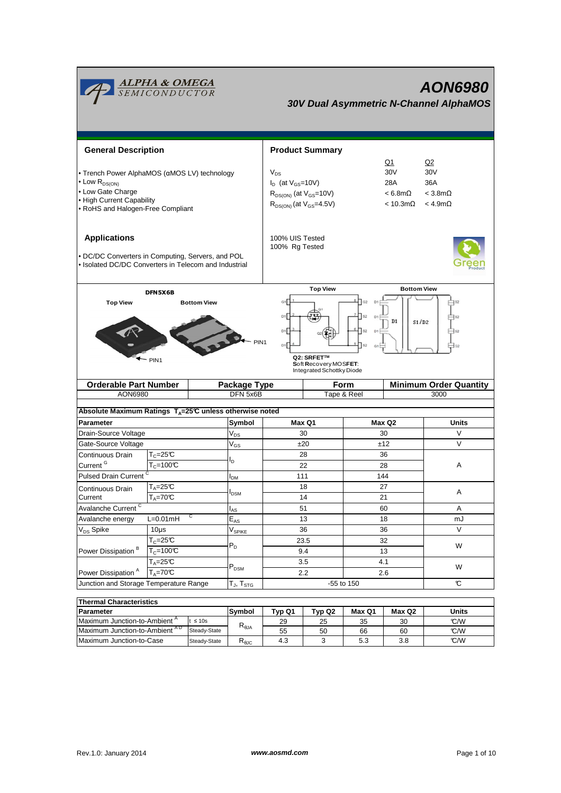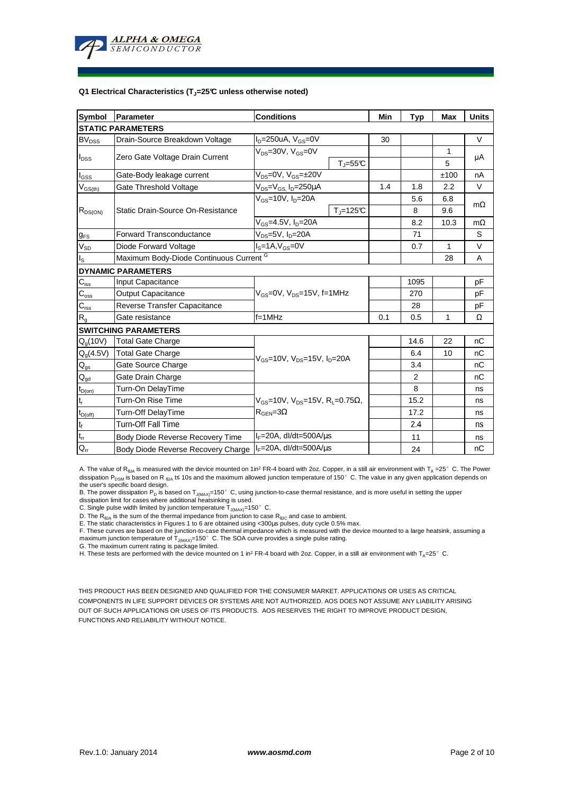

#### **Q1 Electrical Characteristics (TJ=25°C unless otherwise noted)**

| Symbol                                 | <b>Parameter</b>                                   | <b>Conditions</b>                                                                           |                       | Min | <b>Typ</b> | <b>Max</b> | <b>Units</b> |  |  |  |  |  |
|----------------------------------------|----------------------------------------------------|---------------------------------------------------------------------------------------------|-----------------------|-----|------------|------------|--------------|--|--|--|--|--|
| <b>STATIC PARAMETERS</b>               |                                                    |                                                                                             |                       |     |            |            |              |  |  |  |  |  |
| <b>BV<sub>DSS</sub></b>                | Drain-Source Breakdown Voltage                     | $I_D = 250$ uA, $V_{GS} = 0V$                                                               |                       | 30  |            |            | V            |  |  |  |  |  |
| $I_{DSS}$                              | Zero Gate Voltage Drain Current                    | $V_{DS} = 30V$ , $V_{GS} = 0V$                                                              |                       |     |            | 1          |              |  |  |  |  |  |
|                                        |                                                    |                                                                                             | $T_{J} = 55^{\circ}C$ |     |            | 5          | μA           |  |  |  |  |  |
| $I_{GSS}$                              | Gate-Body leakage current                          | $V_{DS} = 0V$ , $V_{GS} = \pm 20V$                                                          |                       |     |            | ±100       | nA           |  |  |  |  |  |
| $\mathsf{V}_{\mathsf{GS(th)}}$         | Gate Threshold Voltage                             | $V_{DS} = V_{GS}$ , $I_D = 250 \mu A$                                                       |                       | 1.4 | 1.8        | 2.2        | V            |  |  |  |  |  |
| $R_{DS(ON)}$                           | Static Drain-Source On-Resistance                  | $V_{GS}$ =10V, $I_D$ =20A                                                                   |                       |     | 5.6        | 6.8        | $m\Omega$    |  |  |  |  |  |
|                                        |                                                    |                                                                                             | $T_{\rm J}$ =125°C    |     | 8          | 9.6        |              |  |  |  |  |  |
|                                        |                                                    | $V_{GS} = 4.5V$ , $I_D = 20A$                                                               |                       |     | 8.2        | 10.3       | $m\Omega$    |  |  |  |  |  |
| $g_{FS}$                               | <b>Forward Transconductance</b>                    | $V_{DS}=5V$ , $I_D=20A$                                                                     |                       |     | 71         |            | S            |  |  |  |  |  |
| $V_{SD}$                               | Diode Forward Voltage                              | $IS=1A, VGS=0V$                                                                             |                       |     | 0.7        | 1          | $\vee$       |  |  |  |  |  |
| $I_{\rm S}$                            | Maximum Body-Diode Continuous Current <sup>G</sup> |                                                                                             |                       |     |            | 28         | A            |  |  |  |  |  |
|                                        | <b>DYNAMIC PARAMETERS</b>                          |                                                                                             |                       |     |            |            |              |  |  |  |  |  |
| $C_{\hbox{\scriptsize{iss}}}$          | Input Capacitance                                  | $V_{GS}$ =0V, $V_{DS}$ =15V, f=1MHz<br>$f=1$ MHz                                            |                       |     | 1095       |            | рF           |  |  |  |  |  |
| $C_{\rm oss}$                          | <b>Output Capacitance</b>                          |                                                                                             |                       |     | 270        |            | рF           |  |  |  |  |  |
| $C_{\text{rss}}$                       | Reverse Transfer Capacitance                       |                                                                                             |                       |     | 28         |            | рF           |  |  |  |  |  |
| $R_{g}$                                | Gate resistance                                    |                                                                                             |                       | 0.1 | 0.5        | 1          | Ω            |  |  |  |  |  |
|                                        | <b>SWITCHING PARAMETERS</b>                        |                                                                                             |                       |     |            |            |              |  |  |  |  |  |
| $Q_q(10V)$                             | <b>Total Gate Charge</b>                           | $V_{GS}$ =10V, $V_{DS}$ =15V, $I_{D}$ =20A                                                  |                       |     | 14.6       | 22         | nC           |  |  |  |  |  |
| $Q_g(4.5V)$                            | <b>Total Gate Charge</b>                           |                                                                                             |                       |     | 6.4        | 10         | nC           |  |  |  |  |  |
| $Q_{qs}$                               | Gate Source Charge                                 |                                                                                             |                       |     | 3.4        |            | nC           |  |  |  |  |  |
| $\mathsf{Q}_{\underline{\mathsf{gd}}}$ | Gate Drain Charge                                  |                                                                                             |                       |     | 2          |            | nC           |  |  |  |  |  |
| $t_{D(0n)}$                            | Turn-On DelayTime                                  | $V_{GS}$ =10V, $V_{DS}$ =15V, R <sub>1</sub> =0.75 $\Omega$ ,<br>$R_{\text{GEN}} = 3\Omega$ |                       |     | 8          |            | ns           |  |  |  |  |  |
| $t_r$                                  | Turn-On Rise Time                                  |                                                                                             |                       |     | 15.2       |            | ns           |  |  |  |  |  |
| $t_{D(off)}$                           | Turn-Off DelayTime                                 |                                                                                             |                       |     | 17.2       |            | ns           |  |  |  |  |  |
| $\mathbf{t}_\text{f}$                  | <b>Turn-Off Fall Time</b>                          |                                                                                             |                       |     | 2.4        |            | ns           |  |  |  |  |  |
| $t_{\rm ff}$                           | Body Diode Reverse Recovery Time                   | $I_F = 20A$ , dl/dt=500A/ $\mu$ s                                                           |                       |     | 11         |            | ns           |  |  |  |  |  |
| $Q_{rr}$                               | Body Diode Reverse Recovery Charge                 | $I_F = 20A$ , dl/dt=500A/us                                                                 |                       |     | 24         |            | nC           |  |  |  |  |  |

A. The value of R<sub>θJA</sub> is measured with the device mounted on 1in<sup>2</sup> FR-4 board with 2oz. Copper, in a still air environment with T<sub>A</sub> =25°C. The Power dissipation P<sub>DSM</sub> is based on R <sub>0JA</sub> t≤ 10s and the maximum allowed junction temperature of 150°C. The value in any given application depends on

the user's specific board design.<br>B. The power dissipation P<sub>D</sub> is based on T<sub>JMAX)</sub>=150° C, using junction-to-case thermal resistance, and is more useful in setting the upper<br>dissipation limit for cases where additional h

D. The  $R_{\theta J\text{A}}$  is the sum of the thermal impedance from junction to case  $R_{\theta J\text{C}}$  and case to ambient.

E. The static characteristics in Figures 1 to 6 are obtained using <300us pulses, duty cycle 0.5% max.

F. These curves are based on the junction-to-case thermal impedance which is measured with the device mounted to a large heatsink, assuming a maximum junction temperature of  $T_{J(MAX)}$ =150°C. The SOA curve provides a single pulse rating.

G. The maximum current rating is package limited.

H. These tests are performed with the device mounted on 1 in<sup>2</sup> FR-4 board with 2oz. Copper, in a still air environment with T<sub>A</sub>=25°C.

THIS PRODUCT HAS BEEN DESIGNED AND QUALIFIED FOR THE CONSUMER MARKET. APPLICATIONS OR USES AS CRITICAL COMPONENTS IN LIFE SUPPORT DEVICES OR SYSTEMS ARE NOT AUTHORIZED. AOS DOES NOT ASSUME ANY LIABILITY ARISING OUT OF SUCH APPLICATIONS OR USES OF ITS PRODUCTS. AOS RESERVES THE RIGHT TO IMPROVE PRODUCT DESIGN, FUNCTIONS AND RELIABILITY WITHOUT NOTICE.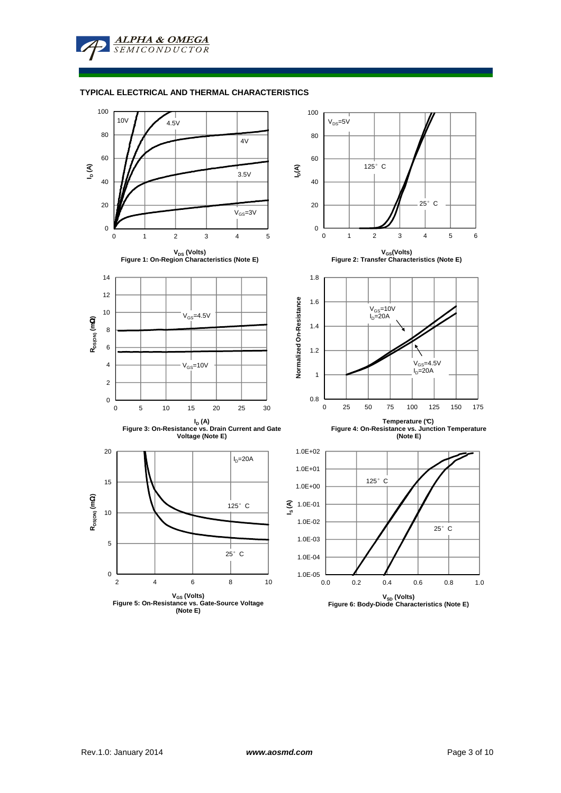**ALPHA & OMEGA SEMICONDUCTOR** 

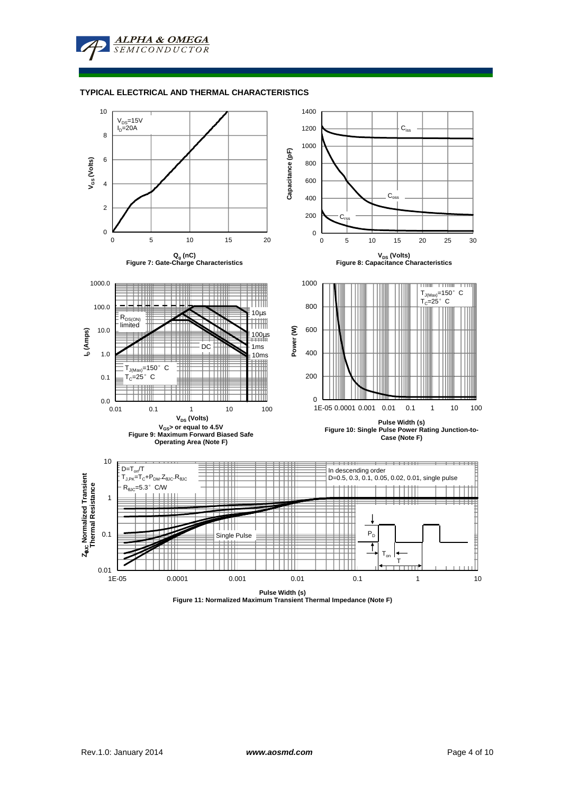

# **TYPICAL ELECTRICAL AND THERMAL CHARACTERISTICS**



**Pulse Width (s) Figure 11: Normalized Maximum Transient Thermal Impedance (Note F)**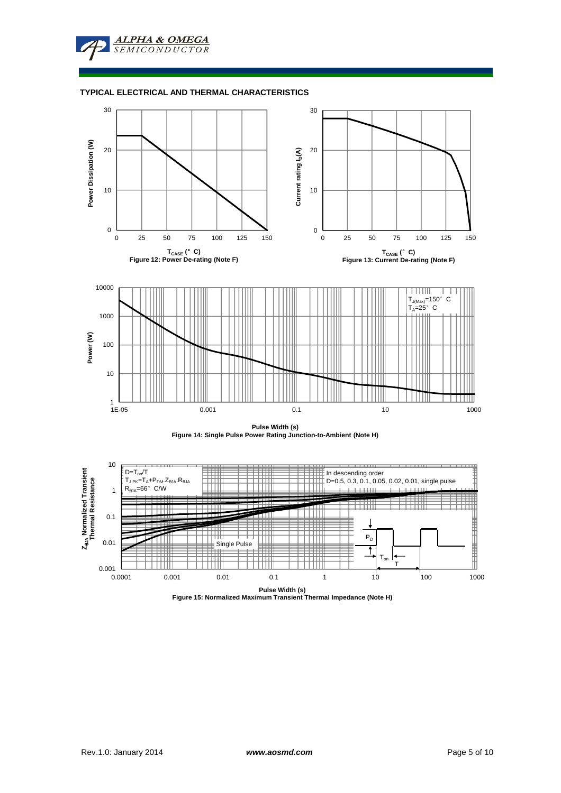







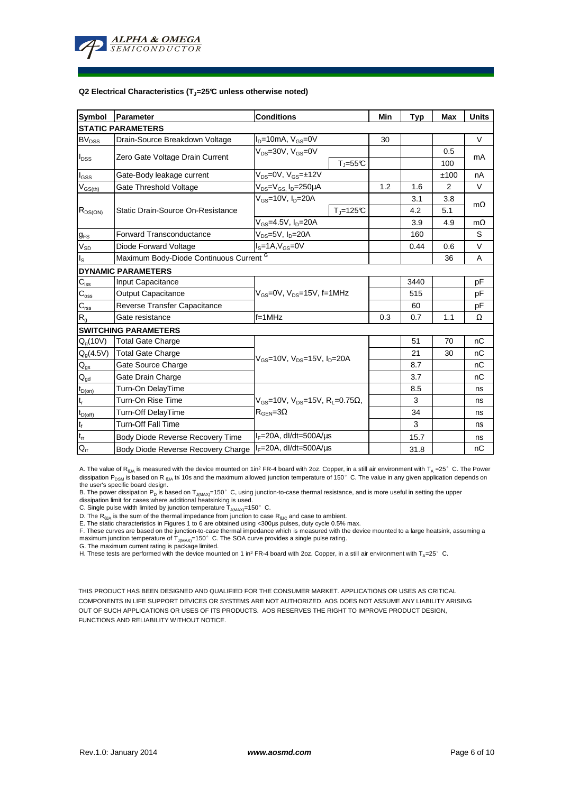

#### **Q2 Electrical Characteristics (TJ=25°C unless otherwise noted)**

| Symbol                         | <b>Parameter</b>                        | <b>Conditions</b>                                                                         |                     | Min | <b>Typ</b> | <b>Max</b> | <b>Units</b> |  |  |  |  |
|--------------------------------|-----------------------------------------|-------------------------------------------------------------------------------------------|---------------------|-----|------------|------------|--------------|--|--|--|--|
| <b>STATIC PARAMETERS</b>       |                                         |                                                                                           |                     |     |            |            |              |  |  |  |  |
| <b>BV<sub>DSS</sub></b>        | Drain-Source Breakdown Voltage          | $I_D=10$ mA, $V_{GS}=0V$                                                                  |                     | 30  |            |            | V            |  |  |  |  |
| $I_{DSS}$                      | Zero Gate Voltage Drain Current         | $V_{DS} = 30V$ , $V_{GS} = 0V$                                                            |                     |     |            | 0.5        |              |  |  |  |  |
|                                |                                         |                                                                                           | $T_J = 55^{\circ}C$ |     |            | 100        | mA           |  |  |  |  |
| $I_{GSS}$                      | Gate-Body leakage current               | $V_{DS} = 0V$ , $V_{GS} = \pm 12V$                                                        |                     |     |            | ±100       | nA           |  |  |  |  |
| $\mathsf{V}_{\mathsf{GS(th)}}$ | Gate Threshold Voltage                  | $V_{DS} = V_{GS}$ , $I_D = 250 \mu A$                                                     |                     | 1.2 | 1.6        | 2          | V            |  |  |  |  |
| $R_{DS(ON)}$                   | Static Drain-Source On-Resistance       | $V_{GS}$ =10V, $I_D$ =20A                                                                 |                     |     | 3.1        | 3.8        |              |  |  |  |  |
|                                |                                         |                                                                                           | $T_{\rm J}$ =125°C  |     | 4.2        | 5.1        | $m\Omega$    |  |  |  |  |
|                                |                                         | $V_{GS} = 4.5V, I_D = 20A$                                                                |                     |     | 3.9        | 4.9        | $m\Omega$    |  |  |  |  |
| $g_{FS}$                       | <b>Forward Transconductance</b>         | $V_{DS}=5V$ , $I_D=20A$                                                                   |                     |     | 160        |            | S            |  |  |  |  |
| $V_{SD}$                       | Diode Forward Voltage                   | $I_S = 1A, V_{GS} = 0V$                                                                   |                     |     | 0.44       | 0.6        | V            |  |  |  |  |
| $I_{\rm S}$                    | Maximum Body-Diode Continuous Current G |                                                                                           |                     |     |            | 36         | A            |  |  |  |  |
|                                | <b>DYNAMIC PARAMETERS</b>               |                                                                                           |                     |     |            |            |              |  |  |  |  |
| $\mathbf{C}_{\text{iss}}$      | Input Capacitance                       | $V_{GS}$ =0V, $V_{DS}$ =15V, f=1MHz                                                       |                     |     | 3440       |            | pF           |  |  |  |  |
| $C_{\underline{\text{oss}}}$   | <b>Output Capacitance</b>               |                                                                                           |                     |     | 515        |            | рF           |  |  |  |  |
| $\mathbf{C}_{\text{rss}}$      | Reverse Transfer Capacitance            |                                                                                           |                     |     | 60         |            | рF           |  |  |  |  |
| $R_{g}$                        | Gate resistance                         | $f=1$ MHz                                                                                 |                     | 0.3 | 0.7        | 1.1        | Ω            |  |  |  |  |
|                                | <b>SWITCHING PARAMETERS</b>             |                                                                                           |                     |     |            |            |              |  |  |  |  |
| $Q_q(10V)$                     | <b>Total Gate Charge</b>                | $V_{GS}$ =10V, $V_{DS}$ =15V, $I_{D}$ =20A                                                |                     |     | 51         | 70         | nC           |  |  |  |  |
| $Q_g(4.5V)$                    | <b>Total Gate Charge</b>                |                                                                                           |                     |     | 21         | 30         | nC           |  |  |  |  |
| $Q_{gs}$                       | Gate Source Charge                      |                                                                                           |                     |     | 8.7        |            | nC           |  |  |  |  |
| $Q_{gd}$                       | Gate Drain Charge                       |                                                                                           |                     |     | 3.7        |            | nC           |  |  |  |  |
| $t_{D(on)}$                    | Turn-On DelayTime                       |                                                                                           |                     |     | 8.5        |            | ns           |  |  |  |  |
| $t_r$                          | Turn-On Rise Time                       | $V_{GS}$ =10V, V <sub>DS</sub> =15V, R <sub>L</sub> =0.75Ω,<br>$R_{\text{GEN}} = 3\Omega$ |                     |     | 3          |            | ns           |  |  |  |  |
| $t_{D(off)}$                   | Turn-Off DelayTime                      |                                                                                           |                     |     | 34         |            | ns           |  |  |  |  |
| $\mathbf{t}_\text{f}$          | <b>Turn-Off Fall Time</b>               |                                                                                           |                     |     | 3          |            | ns           |  |  |  |  |
| $\mathfrak{t}_{\text{rr}}$     | Body Diode Reverse Recovery Time        | $I_F = 20A$ , dl/dt=500A/ $\mu$ s                                                         |                     |     | 15.7       |            | ns           |  |  |  |  |
| $Q_{rr}$                       | Body Diode Reverse Recovery Charge      | $I_F = 20A$ , dl/dt=500A/us                                                               |                     |     | 31.8       |            | nC           |  |  |  |  |

A. The value of R<sub>θJA</sub> is measured with the device mounted on 1in<sup>2</sup> FR-4 board with 2oz. Copper, in a still air environment with T<sub>A</sub> =25°C. The Power dissipation P<sub>DSM</sub> is based on R <sub>0JA</sub> t≤ 10s and the maximum allowed junction temperature of 150°C. The value in any given application depends on

the user's specific board design.<br>B. The power dissipation P<sub>D</sub> is based on T<sub>JMAX)</sub>=150° C, using junction-to-case thermal resistance, and is more useful in setting the upper<br>dissipation limit for cases where additional h

D. The  $R_{\theta J\text{A}}$  is the sum of the thermal impedance from junction to case  $R_{\theta J\text{C}}$  and case to ambient.

E. The static characteristics in Figures 1 to 6 are obtained using <300us pulses, duty cycle 0.5% max.

F. These curves are based on the junction-to-case thermal impedance which is measured with the device mounted to a large heatsink, assuming a maximum junction temperature of  $T_{J(MAX)}$ =150°C. The SOA curve provides a single pulse rating.

G. The maximum current rating is package limited.

H. These tests are performed with the device mounted on 1 in<sup>2</sup> FR-4 board with 2oz. Copper, in a still air environment with T<sub>A</sub>=25°C.

THIS PRODUCT HAS BEEN DESIGNED AND QUALIFIED FOR THE CONSUMER MARKET. APPLICATIONS OR USES AS CRITICAL COMPONENTS IN LIFE SUPPORT DEVICES OR SYSTEMS ARE NOT AUTHORIZED. AOS DOES NOT ASSUME ANY LIABILITY ARISING OUT OF SUCH APPLICATIONS OR USES OF ITS PRODUCTS. AOS RESERVES THE RIGHT TO IMPROVE PRODUCT DESIGN, FUNCTIONS AND RELIABILITY WITHOUT NOTICE.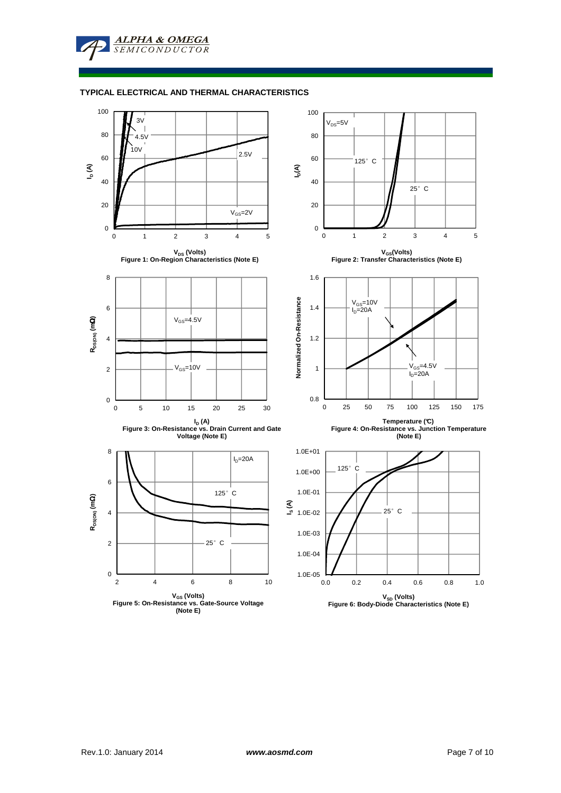**ALPHA & OMEGA SEMICONDUCTOR** 

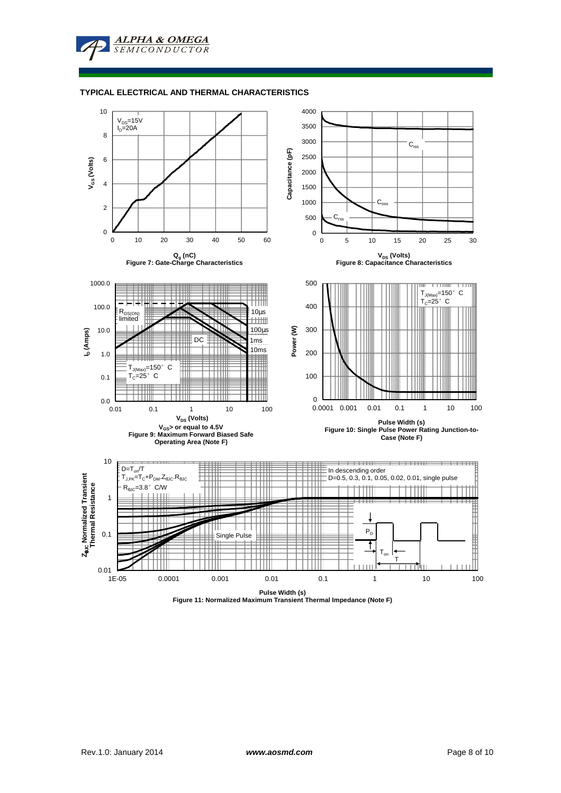**ALPHA & OMEGA**  $SFMICONDIICTOR$ 

### **TYPICAL ELECTRICAL AND THERMAL CHARACTERISTICS**



**Pulse Width (s) Figure 11: Normalized Maximum Transient Thermal Impedance (Note F)**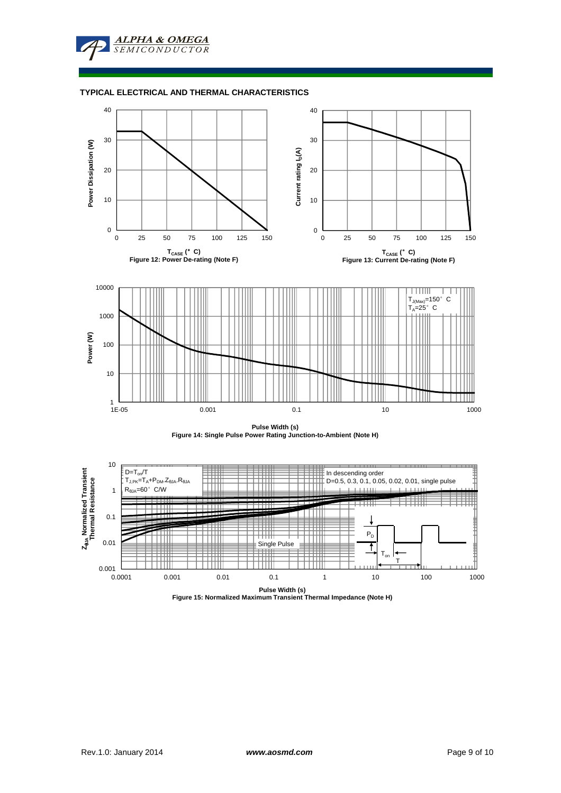